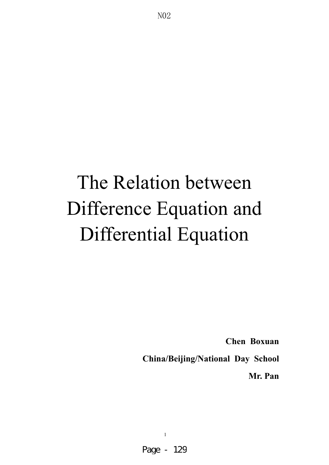# The Relation between Difference Equation and Differential Equation

1

Page - 129

**Chen Boxuan** 

**China/Beijing/National Day School** 

**Mr. Pan**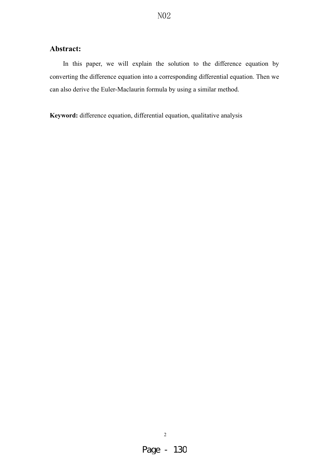### **Abstract:**

In this paper, we will explain the solution to the difference equation by converting the difference equation into a corresponding differential equation. Then we can also derive the Euler-Maclaurin formula by using a similar method.

**Keyword:** difference equation, differential equation, qualitative analysis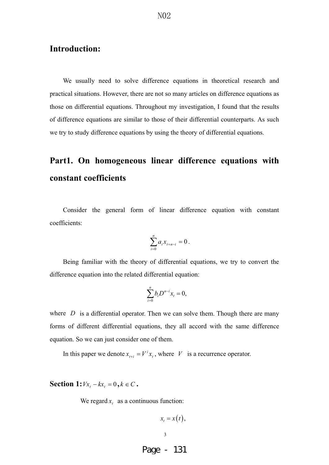### **Introduction:**

We usually need to solve difference equations in theoretical research and practical situations. However, there are not so many articles on difference equations as those on differential equations. Throughout my investigation, I found that the results of difference equations are similar to those of their differential counterparts. As such we try to study difference equations by using the theory of differential equations.

## **Part1. On homogeneous linear difference equations with constant coefficients**

Consider the general form of linear difference equation with constant coefficients:

$$
\sum_{i=0}^n a_i x_{t+n-i} = 0.
$$

Being familiar with the theory of differential equations, we try to convert the difference equation into the related differential equation:

$$
\sum_{i=0}^n b_i D^{n-i} x_i = 0,
$$

where  $D$  is a differential operator. Then we can solve them. Though there are many forms of different differential equations, they all accord with the same difference equation. So we can just consider one of them.

In this paper we denote  $x_{t+i} = V^i x_t$ , where *V* is a recurrence operator.

**Section 1:**  $Vx_t - kx_t = 0, k \in C$ .

We regard  $x_t$  as a continuous function:

$$
x_t = x(t),
$$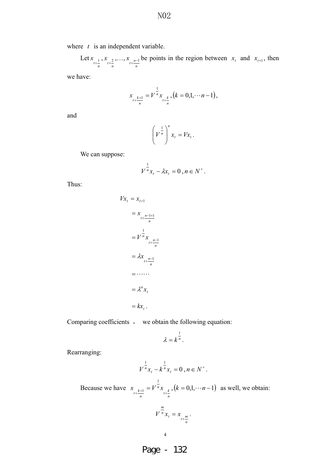where *t* is an independent variable.

Let  $\sum_{t+\frac{1}{n}}$  $x_{\atop{t+\frac{2}{n}}}, \ldots,$  $x_{t+\frac{n-1}{n}}$  be points in the region between  $x_t$  and  $x_{t+1}$ , then

we have:

$$
x_{\mu+\frac{k+1}{n}} = V^{\frac{1}{n}} x_{\mu+\frac{k}{n}}, (k = 0,1,\dots n-1),
$$

and

$$
\left(V^{\frac{1}{n}}\right)^n x_t = Vx_t.
$$

We can suppose:

$$
V^{\frac{1}{n}} x_t - \lambda x_t = 0 , n \in N^+.
$$

Thus:

$$
Vx_t = x_{t+1}
$$
  
=  $x_{t+\frac{n-1+1}{n}}$   
=  $V^{\frac{1}{n}}x_{t+\frac{n-1}{n}}$   
=  $\lambda x_{t+\frac{n-1}{n}}$   
=  $\cdots$   
=  $\lambda^n x_t$   
=  $kx_t$ .

Comparing coefficients , we obtain the following equation:

$$
\lambda = k^{\frac{1}{n}}.
$$

Rearranging:

$$
V^{\frac{1}{n}} x_t - k^{\frac{1}{n}} x_t = 0 , n \in N^+.
$$

Because we have  $\int_{t+\frac{k}{n}}^{n}$  $x_{t+\frac{k+1}{n}} = V^{\frac{1}{n}} x_{t+\frac{k}{n}}$ ,  $(k = 0,1, \dots n-1)$  as well, we obtain:

$$
V^{\frac{m}{n}}x_t = x_{t+\frac{m}{n}}.
$$

Page - 132

4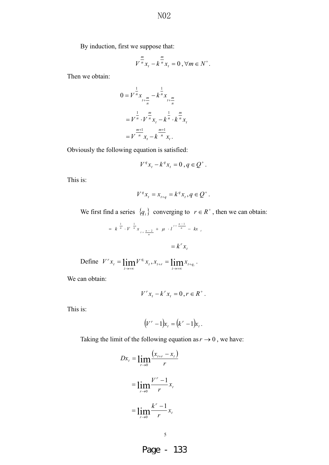N<sub>0</sub>2

By induction, first we suppose that:

$$
V^{\frac{m}{n}}x_t - k^{\frac{m}{n}}x_t = 0, \forall m \in N^+.
$$

Then we obtain:

$$
0 = V^{\frac{1}{n}} x_{t + \frac{m}{n}} - k^{\frac{1}{n}} x_{t + \frac{m}{n}}
$$
  
=  $V^{\frac{1}{n}} \cdot V^{\frac{m}{n}} x_t - k^{\frac{1}{n}} \cdot k^{\frac{m}{n}} x_t$   
=  $V^{\frac{m+1}{n}} x_t - k^{\frac{m+1}{n}} x_t$ .

Obviously the following equation is satisfied:

$$
V^q x_t - k^q x_t = 0 , q \in Q^+.
$$

This is:

$$
V^q x_t = x_{t+q} = k^q x_t, q \in Q^+.
$$

We first find a series  $\{q_i\}$  converging to  $r \in R^+$ , then we can obtain:

$$
= k^{\frac{1}{n}} \cdot V^{\frac{1}{n}} x_{t + \frac{n-2}{n}} + \mu \cdot l^{t + \frac{n-1}{n}} - kx_{t}
$$

$$
= k^{r} x_{t}
$$

Define 
$$
V^{r} x_{t} = \lim_{i \to +\infty} V^{q_{i}} x_{t}, x_{t+r} = \lim_{i \to +\infty} x_{t+q_{i}}.
$$

We can obtain:

$$
V^{r} x_{t} - k^{r} x_{t} = 0, r \in R^{+}.
$$

This is:

$$
(V^r-1)x_t=(k^r-1)x_t.
$$

Taking the limit of the following equation as  $r \to 0$ , we have:

$$
Dx_{t} = \lim_{r \to 0} \frac{(x_{t+r} - x_{t})}{r}
$$
  
= 
$$
\lim_{r \to 0} \frac{V^{r} - 1}{r} x_{t}
$$
  
= 
$$
\lim_{r \to 0} \frac{k^{r} - 1}{r} x_{t}
$$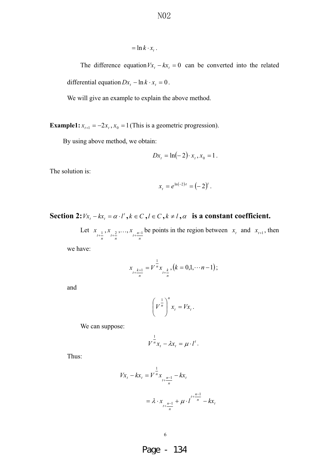$$
= \ln k \cdot x_{t} .
$$

The difference equation  $Vx_t - kx_t = 0$  can be converted into the related differential equation  $Dx_t - \ln k \cdot x_t = 0$ .

We will give an example to explain the above method.

**Example1:**  $x_{t+1} = -2x_t$ ,  $x_0 = 1$  (This is a geometric progression).

By using above method, we obtain:

$$
Dx_t = \ln(-2) \cdot x_t, x_0 = 1.
$$

The solution is:

$$
x_t = e^{\ln(-2)t} = (-2)^t.
$$

**Section 2:**  $Vx_t - kx_t = \alpha \cdot l^t$ ,  $k \in C$ ,  $l \in C$ ,  $k \neq l$ ,  $\alpha$  is a constant coefficient.

Let  $\sum_{t+\frac{1}{n}}$  $x_{\atop{t+\frac{2}{n}}}, \ldots,$  $\lim_{t \to \frac{n-1}{n}}$  be points in the region between  $x_t$  and  $x_{t+1}$ , then

we have:

$$
x_{\mu + \frac{k+1}{n}} = V^{\frac{1}{n}} x_{\mu + \frac{k}{n}}, (k = 0, 1, \cdots n-1);
$$

and

$$
\left(V^{\frac{1}{n}}\right)^n x_t = Vx_t.
$$

We can suppose:

$$
V^{\frac{1}{n}}x_t - \lambda x_t = \mu \cdot l^t.
$$

Thus:

$$
Vx_t - kx_t = V^{\frac{1}{n}} x_{t + \frac{n-1}{n}} - kx_t
$$
  
=  $\lambda \cdot x_{t + \frac{n-1}{n}} + \mu \cdot l^{t + \frac{n-1}{n}} - kx_t$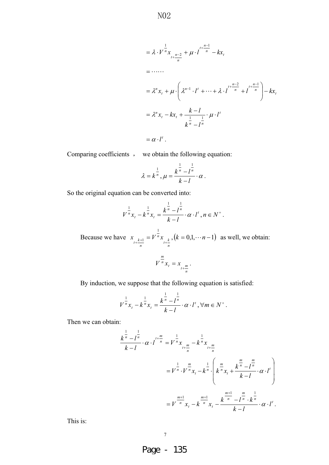$$
= \lambda \cdot V^{\frac{1}{n}} x_{t + \frac{n-2}{n}} + \mu \cdot l^{\frac{t + \frac{n-1}{n}}{n}} - kx_t
$$
  
\n
$$
= \cdots
$$
  
\n
$$
= \lambda^n x_t + \mu \cdot \left( \lambda^{n-1} \cdot l^t + \cdots + \lambda \cdot l^{\frac{n-2}{n}} + l^{\frac{n-1}{n}} \right) - kx_t
$$
  
\n
$$
= \lambda^n x_t - kx_t + \frac{k - l}{\frac{1}{k} - l^{\frac{1}{n}} \cdot \mu \cdot l^t}
$$
  
\n
$$
= \alpha \cdot l^t.
$$

Comparing coefficients , we obtain the following equation:

$$
\lambda = k^{\frac{1}{n}}, \mu = \frac{k^{\frac{1}{n}} - l^{\frac{1}{n}}}{k - l} \cdot \alpha.
$$

So the original equation can be converted into:

$$
V^{\frac{1}{n}}x_t - k^{\frac{1}{n}}x_t = \frac{k^{\frac{1}{n}} - l^{\frac{1}{n}}}{k - l} \cdot \alpha \cdot l^t, n \in N^+.
$$

Because we have  $\int_{t+\frac{k}{n}}^{n}$  $x_{t+\frac{k+1}{n}} = V^{\frac{1}{n}} x_{t+\frac{k}{n}}$ ,  $(k = 0,1, \dots n-1)$  as well, we obtain:

$$
V^{\frac{m}{n}}x_t = x_{t+\frac{m}{n}}.
$$

By induction, we suppose that the following equation is satisfied:

$$
V^{\frac{1}{n}}x_t - k^{\frac{1}{n}}x_t = \frac{k^{\frac{1}{n}} - l^{\frac{1}{n}}}{k - l} \cdot \alpha \cdot l^t, \forall m \in N^+.
$$

Then we can obtain:

$$
\frac{k^{\frac{1}{n}} - l^{\frac{1}{n}}}{k - l} \cdot \alpha \cdot l^{t + \frac{m}{n}} = V^{\frac{1}{n}} x_{t + \frac{m}{n}} - k^{\frac{1}{n}} x_{t + \frac{m}{n}}
$$
\n
$$
= V^{\frac{1}{n}} \cdot V^{\frac{m}{n}} x_t - k^{\frac{1}{n}} \cdot \left( k^{\frac{m}{n}} x_t + \frac{k^{\frac{m}{n}} - l^{\frac{m}{n}}}{k - l} \cdot \alpha \cdot l^{t} \right)
$$
\n
$$
= V^{\frac{m+1}{n}} x_t - k^{\frac{m+1}{n}} x_t - \frac{k^{\frac{m+1}{n}} - l^{\frac{m}{n}} \cdot k^{\frac{1}{n}}}{k - l} \cdot \alpha \cdot l^{t}.
$$

This is: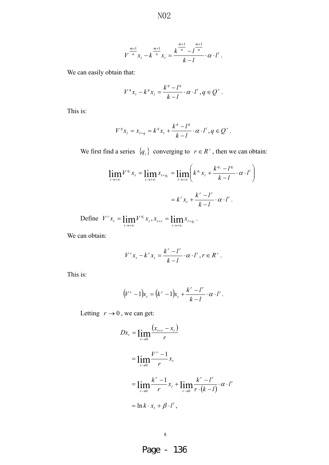$$
V^{\frac{m+1}{n}}x_t - k^{\frac{m+1}{n}}x_t = \frac{k^{\frac{m+1}{n}} - l^{\frac{m+1}{n}}}{k - l} \cdot \alpha \cdot l^t.
$$

We can easily obtain that:

$$
V^q x_t - k^q x_t = \frac{k^q - l^q}{k - l} \cdot \alpha \cdot l^t, q \in Q^+.
$$

This is:

$$
V^{q} x_{t} = x_{t+q} = k^{q} x_{t} + \frac{k^{q} - l^{q}}{k - l} \cdot \alpha \cdot l^{t}, q \in Q^{+}.
$$

We first find a series  $\{q_i\}$  converging to  $r \in R^+$ , then we can obtain:

$$
\lim_{i \to \infty} V^{q_i} x_i = \lim_{i \to \infty} x_{i+q_i} = \lim_{i \to \infty} \left( k^{q_i} x_i + \frac{k^{q_i} - l^{q_i}}{k - l} \cdot \alpha \cdot l^t \right)
$$

$$
= k^r x_i + \frac{k^r - l^r}{k - l} \cdot \alpha \cdot l^t.
$$

Define  $V^r x_t = \lim_{t \to \infty} V^{q_t} x_t$  $V^{r} x_{t} = \lim_{i \to +\infty} V^{q_{i}} x_{t}, x_{t+r} = \lim_{i \to +\infty} x_{t+q_{i}}$ .

We can obtain:

$$
V^{r}x_{t} - k^{r}x_{t} = \frac{k^{r} - l^{r}}{k - l} \cdot \alpha \cdot l^{t}, r \in R^{+}.
$$

This is:

$$
(V^r-1)x_t = (k^r-1)x_t + \frac{k^r - l^r}{k-l} \cdot \alpha \cdot l^t.
$$

Letting  $r \rightarrow 0$ , we can get:

$$
Dx_{t} = \lim_{r \to 0} \frac{(x_{t+r} - x_{t})}{r}
$$
  
= 
$$
\lim_{r \to 0} \frac{V^{r} - 1}{r} x_{t}
$$
  
= 
$$
\lim_{r \to 0} \frac{k^{r} - 1}{r} x_{t} + \lim_{r \to 0} \frac{k^{r} - l^{r}}{r \cdot (k - l)} \cdot \alpha \cdot l^{t}
$$
  
= 
$$
\ln k \cdot x_{t} + \beta \cdot l^{t},
$$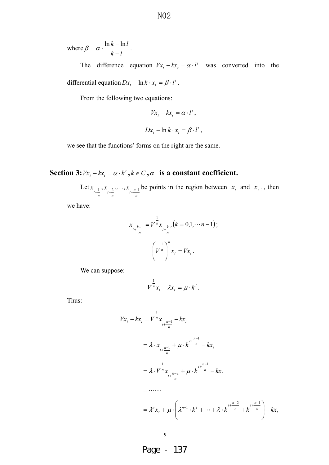where *lk lk*  $\beta = \alpha \cdot \frac{\ln k - \ln l}{k - l}.$ 

The difference equation  $Vx_t - kx_t = \alpha \cdot l'$  was converted into the differential equation  $Dx_t - \ln k \cdot x_t = \beta \cdot l'$ .

From the following two equations:

$$
Vx_t - kx_t = \alpha \cdot l^t,
$$
  

$$
Dx_t - \ln k \cdot x_t = \beta \cdot l^t,
$$

we see that the functions' forms on the right are the same.

**Section 3:**  $Vx_t - kx_t = \alpha \cdot k^t$ ,  $k \in C$ ,  $\alpha$  **is a constant coefficient.** 

Let  $\sum_{t+\frac{1}{n}}$  $x_{\atop{t+\frac{2}{n}}}, \ldots,$  $x_{t+\frac{n-1}{n}}$  be points in the region between  $x_t$  and  $x_{t+1}$ , then

we have:

$$
x_{\frac{k+1}{n}} = V^{\frac{1}{n}} x_{\frac{k}{n+k}}, (k = 0, 1, \dots n-1);
$$

$$
\left(V^{\frac{1}{n}}\right)^n x_t = V x_t.
$$

We can suppose:

$$
V^{\frac{1}{n}}x_t - \lambda x_t = \mu \cdot k^t.
$$

Thus:

$$
Vx_{t} - kx_{t} = V^{\frac{1}{n}}x_{t + \frac{n-1}{n}} - kx_{t}
$$
  
=  $\lambda \cdot x_{t + \frac{n-1}{n}} + \mu \cdot k^{t + \frac{n-1}{n}} - kx_{t}$   
=  $\lambda \cdot V^{\frac{1}{n}}x_{t + \frac{n-2}{n}} + \mu \cdot k^{t + \frac{n-1}{n}} - kx_{t}$   
=  $\cdots$   
=  $\lambda^{n}x_{t} + \mu \cdot \left(\lambda^{n-1} \cdot k^{t} + \cdots + \lambda \cdot k^{t + \frac{n-2}{n}} + k^{t + \frac{n-1}{n}}\right) - kx_{t}$ 

9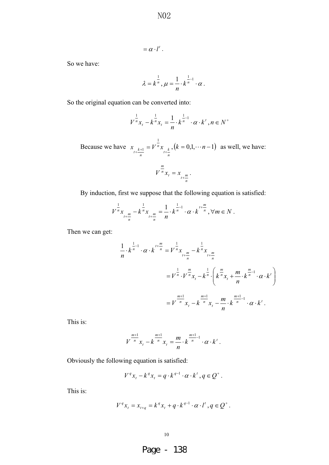$$
\overline{N02}
$$

$$
=\alpha\cdot l^t.
$$

So we have:

$$
\lambda = k^{\frac{1}{n}}, \mu = \frac{1}{n} \cdot k^{\frac{1}{n-1}} \cdot \alpha.
$$

So the original equation can be converted into:

$$
V^{\frac{1}{n}}x_t - k^{\frac{1}{n}}x_t = \frac{1}{n} \cdot k^{\frac{1}{n}-1} \cdot \alpha \cdot k^t, n \in N^+
$$

Because we have  $\int_{t+\frac{k}{n}}^{n}$  $x_{t+\frac{k+1}{n}} = V^{\frac{1}{n}} x_{t+\frac{k}{n}}$ ,  $(k = 0,1, \dots n-1)$  as well, we have:

$$
V^{\frac{m}{n}}x_t = x_{t+\frac{m}{n}}.
$$

By induction, first we suppose that the following equation is satisfied:

$$
V^{\frac{1}{n}}x_{t+\frac{m}{n}} - k^{\frac{1}{n}}x_{t+\frac{m}{n}} = \frac{1}{n} \cdot k^{\frac{1}{n}-1} \cdot \alpha \cdot k^{t+\frac{m}{n}}, \forall m \in N.
$$

Then we can get:

$$
\frac{1}{n} \cdot k^{\frac{1}{n-1}} \cdot \alpha \cdot k^{\frac{t+\frac{m}{n}}{n}} = V^{\frac{1}{n}} x_{t+\frac{m}{n}} - k^{\frac{1}{n}} x_{t+\frac{m}{n}}
$$
\n
$$
= V^{\frac{1}{n}} \cdot V^{\frac{m}{n}} x_{t} - k^{\frac{1}{n}} \cdot \left( k^{\frac{m}{n}} x_{t} + \frac{m}{n} \cdot k^{\frac{m}{n-1}} \cdot \alpha \cdot k^{\frac{t}{n}} \right)
$$
\n
$$
= V^{\frac{m+1}{n}} x_{t} - k^{\frac{m+1}{n}} x_{t} - \frac{m}{n} \cdot k^{\frac{m+1}{n}} \cdot \alpha \cdot k^{\frac{t}{n}}.
$$

This is:

$$
V^{\frac{m+1}{n}}x_t - k^{\frac{m+1}{n}}x_t = \frac{m}{n} \cdot k^{\frac{m+1}{n}-1} \cdot \alpha \cdot k^t.
$$

Obviously the following equation is satisfied:

$$
V^q x_t - k^q x_t = q \cdot k^{q-1} \cdot \alpha \cdot k^t, q \in Q^+.
$$

This is:

$$
V^{q}x_{t}=x_{t+q}=k^{q}x_{t}+q\cdot k^{q-1}\cdot \alpha\cdot l^{t}, q\in \mathcal{Q}^{+}.
$$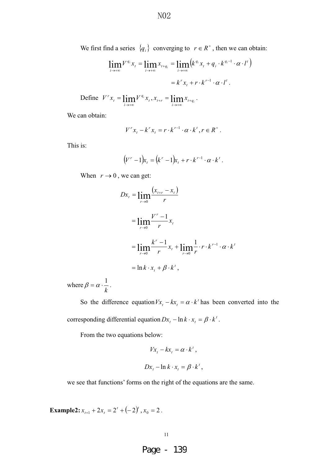We first find a series  $\{q_i\}$  converging to  $r \in R^+$ , then we can obtain:

$$
\lim_{i \to +\infty} V^{q_i} x_i = \lim_{i \to +\infty} x_{t+q_i} = \lim_{i \to +\infty} \left( k^{q_i} x_t + q_i \cdot k^{q_i - 1} \cdot \alpha \cdot l^t \right)
$$

$$
= k^r x_t + r \cdot k^{r-1} \cdot \alpha \cdot l^t.
$$

Define  $V^r x_i = \lim_{t \to \infty} V^{q_i} x_i$  $V^{r} x_{t} = \lim_{i \to +\infty} V^{q_{i}} x_{t}, x_{t+r} = \lim_{i \to +\infty} x_{t+q_{i}}$ .

We can obtain:

$$
V^{r} x_{t} - k^{r} x_{t} = r \cdot k^{r-1} \cdot \alpha \cdot k^{t}, r \in R^{+}.
$$

This is:

$$
(V^r-1)x_t = (k^r-1)x_t + r \cdot k^{r-1} \cdot \alpha \cdot k^t.
$$

When  $r \to 0$ , we can get:

$$
Dx_{t} = \lim_{r \to 0} \frac{(x_{t+r} - x_{t})}{r}
$$
  
= 
$$
\lim_{r \to 0} \frac{V^{r} - 1}{r} x_{t}
$$
  
= 
$$
\lim_{r \to 0} \frac{k^{r} - 1}{r} x_{t} + \lim_{r \to 0} \frac{1}{r} \cdot r \cdot k^{r-1} \cdot \alpha \cdot k^{t}
$$
  
= 
$$
\ln k \cdot x_{t} + \beta \cdot k^{t},
$$

where *k*  $\beta = \alpha \cdot \frac{1}{\cdot}$ .

So the difference equation  $Vx_t - kx_t = \alpha \cdot k'$  has been converted into the corresponding differential equation  $Dx_t - \ln k \cdot x_t = \beta \cdot k'$ .

From the two equations below:

$$
Vx_t - kx_t = \alpha \cdot k^t,
$$
  

$$
Dx_t - \ln k \cdot x_t = \beta \cdot k^t,
$$

we see that functions' forms on the right of the equations are the same.

**Example2:**  $x_{t+1} + 2x_t = 2^t + (-2)^t$ ,  $x_0 = 2$ .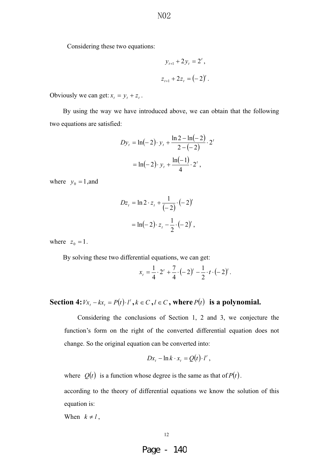Considering these two equations:

$$
y_{t+1} + 2y_t = 2^t,
$$
  

$$
z_{t+1} + 2z_t = (-2)^t.
$$

Obviously we can get:  $x_t = y_t + z_t$ .

 By using the way we have introduced above, we can obtain that the following two equations are satisfied:

$$
Dy_t = \ln(-2) \cdot y_t + \frac{\ln 2 - \ln(-2)}{2 - (-2)} \cdot 2^t
$$

$$
= \ln(-2) \cdot y_t + \frac{\ln(-1)}{4} \cdot 2^t,
$$

where  $y_0 = 1$ , and

$$
Dz_{t} = \ln 2 \cdot z_{t} + \frac{1}{(-2)} \cdot (-2)^{t}
$$

$$
= \ln(-2) \cdot z_{t} - \frac{1}{2} \cdot (-2)^{t},
$$

where  $z_0 = 1$ .

By solving these two differential equations, we can get:

$$
x_{t} = \frac{1}{4} \cdot 2^{t} + \frac{7}{4} \cdot (-2)^{t} - \frac{1}{2} \cdot t \cdot (-2)^{t}.
$$

### **Section 4:**  $Vx_t - kx_t = P(t) \cdot l^t$ ,  $k \in C$ ,  $l \in C$ , where  $P(t)$  is a polynomial.

Considering the conclusions of Section 1, 2 and 3, we conjecture the function's form on the right of the converted differential equation does not change. So the original equation can be converted into:

$$
Dx_t - \ln k \cdot x_t = Q(t) \cdot l^t,
$$

where  $Q(t)$  is a function whose degree is the same as that of  $P(t)$ .

according to the theory of differential equations we know the solution of this equation is:

When  $k \neq l$ ,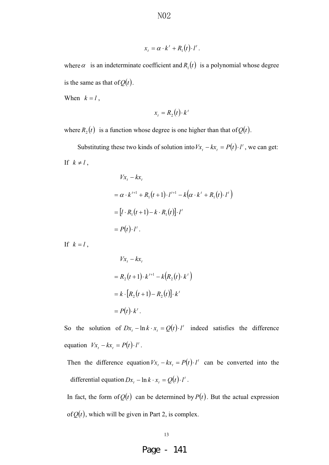$$
x_t = \alpha \cdot k^t + R_1(t) \cdot l^t.
$$

where  $\alpha$  is an indeterminate coefficient and  $R_1(t)$  is a polynomial whose degree is the same as that of  $Q(t)$ .

When  $k = l$ ,

$$
x_t = R_2(t) \cdot k^t
$$

where  $R_2(t)$  is a function whose degree is one higher than that of  $Q(t)$ .

Substituting these two kinds of solution into  $Vx_t - kx_t = P(t) \cdot l^t$ , we can get: If  $k \neq l$ ,

$$
Vx_t - kx_t
$$
  
=  $\alpha \cdot k^{t+1} + R_1(t+1) \cdot l^{t+1} - k(\alpha \cdot k^t + R_1(t) \cdot l^t)$   
=  $[l \cdot R_1(t+1) - k \cdot R_1(t)] \cdot l^t$   
=  $P(t) \cdot l^t$ .

If  $k = l$ ,

$$
Vx_t - kx_t
$$
  
=  $R_2(t+1) \cdot k^{t+1} - k(R_2(t) \cdot k^t)$   
=  $k \cdot [R_2(t+1) - R_2(t)] \cdot k^t$   
=  $P(t) \cdot k^t$ .

So the solution of  $Dx_t - \ln k \cdot x_t = Q(t) \cdot l'$  indeed satisfies the difference equation  $Vx_t - kx_t = P(t) \cdot l^t$ .

Then the difference equation  $Vx_t - kx_t = P(t) \cdot l'$  can be converted into the differential equation  $Dx_t - \ln k \cdot x_t = Q(t) \cdot l'$ .

In fact, the form of  $Q(t)$  can be determined by  $P(t)$ . But the actual expression of  $Q(t)$ , which will be given in Part 2, is complex.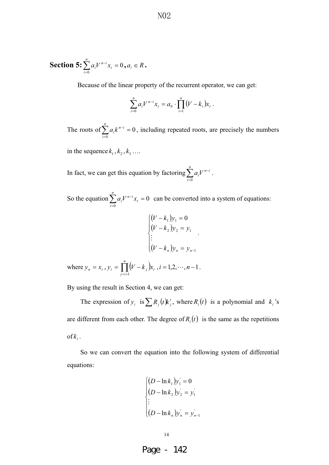**Section 5:** 
$$
\sum_{i=0}^{n} a_i V^{n-i} x_i = 0, a_i \in R
$$
.

Because of the linear property of the recurrent operator, we can get:

$$
\sum_{i=0}^n a_i V^{n-i} x_i = a_0 \cdot \prod_{i=1}^n (V - k_i) x_i.
$$

The roots of  $\sum a_i k^{n-i} = 0$ 0  $\sum_{i=1}^{n} a_i k^{n-i} =$ L  $\sum_{n=1}^{n}$   $\sum_{n=1}^{n}$ *i*  $a_i k^{n-i} = 0$ , including repeated roots, are precisely the numbers

in the sequence  $k_1$  ,  $k_2$  ,  $k_3$  ...

In fact, we can get this equation by factoring  $\sum_{i=0}^{n} a_i V^{n-i}$ *i in*  $a_i V$ 0 .

So the equation  $\sum a_i V^{n-i} x_i = 0$  $\boldsymbol{0}$  $\sum_{i=1}^{n} a_i V^{n-i} x_i =$ - $\sum_{n=1}^n$   $\frac{n}{\epsilon}$ *i t*  $a_i V^{n-i} x_i = 0$  can be converted into a system of equations:

$$
\begin{cases}\n(V - k_1)y_1 = 0 \\
(V - k_2)y_2 = y_1 \\
\vdots \\
(V - k_n)y_n = y_{n-1}\n\end{cases}
$$

where  $y_n = x_t$ ,  $y_i = \prod_{i=i+1}^{n} (V - k_i)$  $=\prod^{n}(V$ *ij*  $y_i = \prod (V - k_j)x_i$ 1  $i = 1, 2, \cdots, n-1$ .

By using the result in Section 4, we can get:

The expression of  $y_i$  is  $\sum R_j(t)k'_j$ , where  $R_i(t)$  is a polynomial and  $k_i$ 's are different from each other. The degree of  $R_i(t)$  is the same as the repetitions  $of k_i$ .

So we can convert the equation into the following system of differential equations:

$$
\begin{cases}\n(D - \ln k_1)y_1 = 0 \\
(D - \ln k_2)y_2 = y_1' \\
\vdots \\
(D - \ln k_n)y_n = y_{n-1}'\n\end{cases}
$$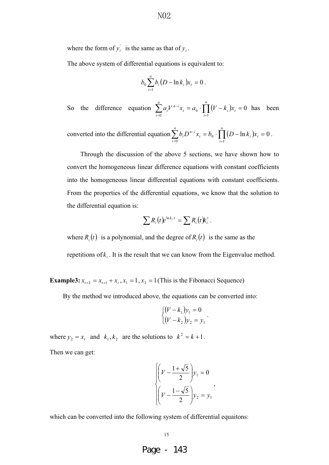where the form of  $y'_i$  is the same as that of  $y_i$ .

The above system of differential equations is equivalent to:

$$
b_0 \sum_{i=1}^n b_i (D - \ln k_i) x_i = 0.
$$

So the difference equation  $\sum a_i V^{n-i} x_i = a_0 \cdot \prod (V - k_i) x_i = 0$ 1 0  $\mathbf{0}$  $\sum_{i=1}^{n} a_i V^{n-i} x_i = a_0 \cdot \prod_{i=1}^{n} (V - k_i) x_i =$  $\overline{\phantom{a}} = 0$   $\overline{\phantom{a}}$  $-i$   $\Gamma$ *i*  $\sum_i$ *n i t*  $a_i V^{n-i} x_i = a_0 \cdot \prod_{i=1}^{n} (V - k_i) x_i = 0$  has been

converted into the differential equation  $\sum b_i D^{n-i} x_i = b_0 \cdot \prod_{i=1}^{n} (D - \ln k_i)x_i = 0$ 1  $\boldsymbol{0}$  $\mathbf{0}$  $\sum_{i=1}^{n} b_i D^{n-i} x_i = b_0 \cdot \prod_{i=1}^{n} (D - \ln k_i) x_i =$  $\overline{=}$   $\overline{=}$  $-i$   $\frac{n}{l}$ *i ti n i t*  $b_i D^{n-i} x_i = b_0 \cdot \prod_{i=1}^{n} (D - \ln k_i) x_i = 0$ .

Through the discussion of the above 5 sections, we have shown how to convert the homogeneous linear difference equations with constant coefficients into the homogeneous linear differential equations with constant coefficients. From the properties of the differential equations, we know that the solution to the differential equation is:

$$
\sum R_i(t)e^{\ln k_i \cdot t} = \sum R_i(t)k_i^t.
$$

where  $R_i(t)$  is a polynomial, and the degree of  $R_i(t)$  is the same as the

repetitions of  $k_i$ . It is the result that we can know from the Eigenvalue method.

**Example3:**  $x_{t+2} = x_{t+1} + x_t$ ,  $x_1 = 1$ ,  $x_2 = 1$  (This is the Fibonacci Sequence)

By the method we introduced above, the equations can be converted into:

$$
\begin{cases}\n(V - k_1)y_1 = 0 \\
(V - k_2)y_2 = y_1\n\end{cases}.
$$

where  $y_2 = x_t$  and  $k_1, k_2$  are the solutions to  $k^2 = k+1$ .

Then we can get:

$$
\begin{cases}\n\left(V - \frac{1 + \sqrt{5}}{2}\right) y_1 = 0 \\
\left(V - \frac{1 - \sqrt{5}}{2}\right) y_2 = y_1\n\end{cases}
$$

which can be converted into the following system of differential equaitons:

15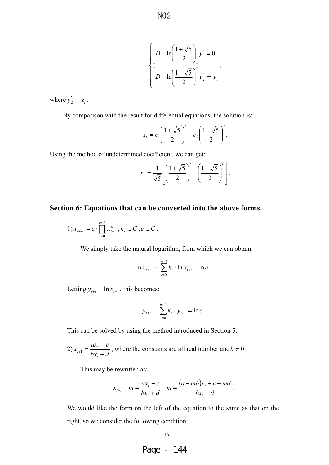$$
\left[ D - \ln \left( \frac{1 + \sqrt{5}}{2} \right) \right] y_1 = 0
$$

$$
\left[ D - \ln \left( \frac{1 - \sqrt{5}}{2} \right) \right] y_2 = y_1
$$

,

where  $y'_2 = x_t$ .

By comparison with the result for differential equations, the solution is:

$$
x_{t} = c_{1} \left( \frac{1 + \sqrt{5}}{2} \right)^{t} + c_{2} \left( \frac{1 - \sqrt{5}}{2} \right)^{t},
$$

Using the method of undetermined coefficient, we can get:

$$
x_{t} = \frac{1}{\sqrt{5}} \left[ \left( \frac{1+\sqrt{5}}{2} \right)^{t} - \left( \frac{1-\sqrt{5}}{2} \right)^{t} \right].
$$

#### **Section 6: Equations that can be converted into the above forms.**

1) 
$$
x_{t+m} = c \cdot \prod_{i=0}^{m-1} x_{t+i}^{k_i}, k_i \in C, c \in C
$$
.

We simply take the natural logarithm, from which we can obtain:

$$
\ln x_{t+m} = \sum_{i=0}^{m-1} k_i \cdot \ln x_{t+i} + \ln c \, .
$$

Letting  $y_{t+i} = \ln x_{t+i}$ , this becomes:

$$
y_{t+m} - \sum_{i=0}^{m-1} k_i \cdot y_{t+i} = \ln c.
$$

This can be solved by using the method introduced in Section 5.

2)  $x_{t+1} = \frac{ax_t + c}{bx_t + d}$ *t*  $t_{t+1} = \frac{ax_t}{bx_t}$  $\frac{dx_t + c}{dx_t + c}$ , where the constants are all real number and  $b \neq 0$ .

This may be rewritten as:

$$
x_{t+1} - m = \frac{ax_t + c}{bx_t + d} - m = \frac{(a - mb)x_t + c - md}{bx_t + d}.
$$

We would like the form on the left of the equation to the same as that on the right, so we consider the following condition:

16

Page - 144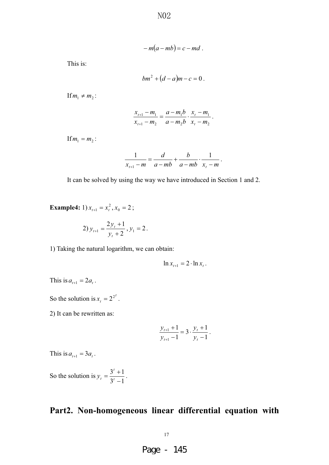N<sub>0</sub>2

$$
-m(a-mb)=c-md.
$$

This is:

$$
bm^2+(d-a)m-c=0.
$$

If  $m_1 \neq m_2$ :

$$
\frac{x_{t+1} - m_1}{x_{t+1} - m_2} = \frac{a - m_1 b}{a - m_2 b} \cdot \frac{x_t - m_1}{x_t - m_2}.
$$

If  $m_1 = m_2$ :

$$
\frac{1}{x_{t+1}-m} = \frac{d}{a-mb} + \frac{b}{a-mb} \cdot \frac{1}{x_t-m}.
$$

It can be solved by using the way we have introduced in Section 1 and 2.

**Example4:** 1)  $x_{t+1} = x_t^2$ ,  $x_0 = 2$ ;

2) 
$$
y_{t+1} = \frac{2y_t + 1}{y_t + 2}, y_1 = 2.
$$

1) Taking the natural logarithm, we can obtain:

$$
\ln x_{t+1} = 2 \cdot \ln x_t.
$$

This is  $a_{t+1} = 2a_t$ .

So the solution is  $x_t = 2^{2^t}$ .

2) It can be rewritten as:

$$
\frac{y_{t+1}+1}{y_{t+1}-1} = 3 \cdot \frac{y_t+1}{y_t-1}.
$$

This is  $a_{t+1} = 3a_t$ .

So the solution is  $3^{t} - 1$  $3^{t}+1$  $=\frac{3^t+1}{3^t}$  $y_t = \frac{3}{2t-1}$ .

### **Part2. Non-homogeneous linear differential equation with**

17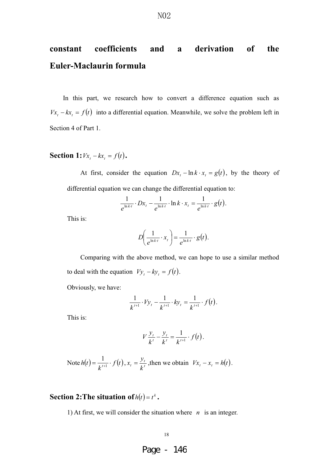## **constant coefficients and a derivation of the Euler-Maclaurin formula**

In this part, we research how to convert a difference equation such as  $Vx_t - kx_t = f(t)$  into a differential equation. Meanwhile, we solve the problem left in Section 4 of Part 1.

**Section 1:**  $Vx_t - kx_t = f(t)$ .

At first, consider the equation  $Dx_t - \ln k \cdot x_t = g(t)$ , by the theory of differential equation we can change the differential equation to:

$$
\frac{1}{e^{\ln k \cdot t}} \cdot Dx_t - \frac{1}{e^{\ln k \cdot t}} \cdot \ln k \cdot x_t = \frac{1}{e^{\ln k \cdot t}} \cdot g(t).
$$

This is:

$$
D\left(\frac{1}{e^{\ln k \cdot t}} \cdot x_t\right) = \frac{1}{e^{\ln k \cdot t}} \cdot g(t).
$$

Comparing with the above method, we can hope to use a similar method to deal with the equation  $V y_t - k y_t = f(t)$ .

Obviously, we have:

$$
\frac{1}{k^{t+1}} \cdot V y_t - \frac{1}{k^{t+1}} \cdot k y_t = \frac{1}{k^{t+1}} \cdot f(t).
$$

This is:

$$
V\frac{y_t}{k^t} - \frac{y_t}{k^t} = \frac{1}{k^{t+1}} \cdot f(t).
$$

Note 
$$
h(t) = \frac{1}{k^{t+1}} \cdot f(t)
$$
,  $x_t = \frac{y_t}{k^t}$ , then we obtain  $Vx_t - x_t = h(t)$ .

### **Section 2: The situation of**  $h(t) = t^k$ .

1) At first, we will consider the situation where *n* is an integer.

#### 18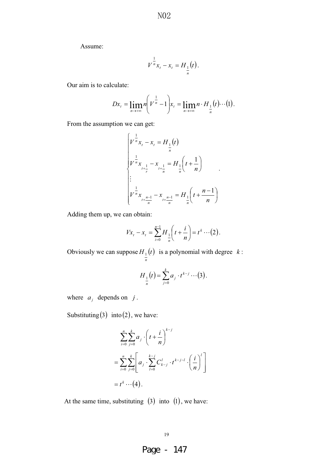Assume:

$$
V^{\frac{1}{n}}x_t - x_t = H_{\frac{1}{n}}(t).
$$

Our aim is to calculate:

$$
Dx_t = \lim_{n \to +\infty} n \left( V^{\frac{1}{n}} - 1 \right) x_t = \lim_{n \to +\infty} n \cdot H_{\frac{1}{n}}(t) \cdots (1).
$$

From the assumption we can get:

$$
\begin{cases} v^{\frac{1}{n}}x_{t} - x_{t} = H_{\frac{1}{n}}(t) \\ v^{\frac{1}{n}}x_{t+\frac{1}{n}} - x_{t+\frac{1}{n}} = H_{\frac{1}{n}}\left(t + \frac{1}{n}\right) \\ \vdots \\ v^{\frac{1}{n}}x_{t+\frac{n-1}{n}} - x_{t+\frac{n-1}{n}} = H_{\frac{1}{n}}\left(t + \frac{n-1}{n}\right) \end{cases}
$$

Adding them up, we can obtain:

$$
Vx_t - x_t = \sum_{i=0}^{n-1} H_{\frac{1}{n}}\left(t + \frac{i}{n}\right) = t^k \cdots (2).
$$

Obviously we can suppose  $H_1(t)$ *n*  $_1(t)$  is a polynomial with degree  $k$ :

$$
H_{\frac{1}{n}}(t) = \sum_{j=0}^{k} a_j \cdot t^{k-j} \cdots (3).
$$

where  $a_j$  depends on  $j$ .

Substituting  $(3)$  into  $(2)$ , we have:

$$
\sum_{i=0}^{n} \sum_{j=0}^{k} a_{j} \cdot \left(t + \frac{i}{n}\right)^{k-j}
$$
\n
$$
= \sum_{i=0}^{n} \sum_{j=0}^{k} \left[a_{j} \cdot \sum_{l=0}^{k-j} C_{k-j}^{l} \cdot t^{k-j-l} \cdot \left(\frac{i}{n}\right)^{l}\right]
$$
\n
$$
= t^{k} \cdots (4).
$$

At the same time, substituting  $(3)$  into  $(1)$ , we have:

19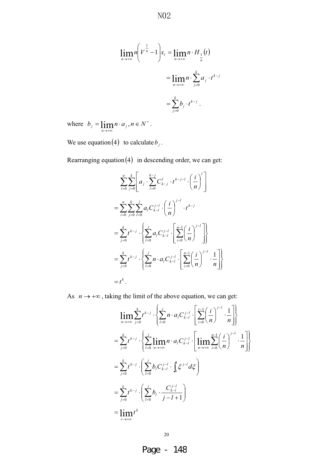N<sub>0</sub>2

$$
\lim_{n \to +\infty} n \left( V^{\frac{1}{n}} - 1 \right) x_t = \lim_{n \to +\infty} n \cdot H_{\frac{1}{n}}(t)
$$

$$
= \lim_{n \to +\infty} n \cdot \sum_{j=0}^{k} a_j \cdot t^{k-j}
$$

$$
= \sum_{j=0}^{k} b_j \cdot t^{k-j} .
$$

where  $b_j = \lim_{n \to \infty} n \cdot a_j, n \in N^+$ .

We use equation  $(4)$  to calculate  $b_j$ .

Rearranging equation  $(4)$  in descending order, we can get:

$$
\sum_{i=0}^{n} \sum_{j=0}^{k} \left[ a_j \cdot \sum_{l=0}^{k-j} C_{k-j}^{l} \cdot t^{k-j-l} \cdot \left( \frac{i}{n} \right)^{l} \right]
$$
  
\n
$$
= \sum_{i=0}^{n} \sum_{j=0}^{k} \sum_{l=0}^{j} a_l C_{k-l}^{j-l} \cdot \left( \frac{i}{n} \right)^{j-l} \cdot t^{k-j}
$$
  
\n
$$
= \sum_{j=0}^{k} t^{k-j} \cdot \left\{ \sum_{l=0}^{j} a_l C_{k-l}^{j-l} \cdot \left[ \sum_{i=0}^{n-1} \left( \frac{i}{n} \right)^{j-l} \right] \right\}
$$
  
\n
$$
= \sum_{j=0}^{k} t^{k-j} \cdot \left\{ \sum_{l=0}^{j} n \cdot a_l C_{k-l}^{j-l} \cdot \left[ \sum_{i=0}^{n-1} \left( \frac{i}{n} \right)^{j-l} \cdot \frac{1}{n} \right] \right\}
$$
  
\n
$$
= t^{k}.
$$

As  $n \to +\infty$ , taking the limit of the above equation, we can get:

$$
\lim_{n \to \infty} \sum_{j=0}^{k} t^{k-j} \cdot \left\{ \sum_{l=0}^{j} n \cdot a_{l} C_{k-l}^{j-l} \cdot \left[ \sum_{i=0}^{r-1} \left( \frac{i}{n} \right)^{j-l} \cdot \frac{1}{n} \right] \right\}
$$
\n
$$
= \sum_{j=0}^{k} t^{k-j} \cdot \left\{ \sum_{l=0}^{j} \lim_{n \to \infty} n \cdot a_{l} C_{k-l}^{j-l} \cdot \left[ \lim_{n \to \infty} \sum_{i=0}^{n-1} \left( \frac{i}{n} \right)^{j-l} \cdot \frac{1}{n} \right] \right\}
$$
\n
$$
= \sum_{j=0}^{k} t^{k-j} \cdot \left( \sum_{l=0}^{j} b_{l} C_{k-l}^{j-l} \cdot \int_{0}^{t} \xi^{j-l} d\xi \right)
$$
\n
$$
= \sum_{j=0}^{k} t^{k-j} \cdot \left( \sum_{l=0}^{j} b_{l} \cdot \frac{C_{k-l}^{j-l}}{j-l+1} \right)
$$
\n
$$
= \lim_{r \to \infty} t^{k}
$$

20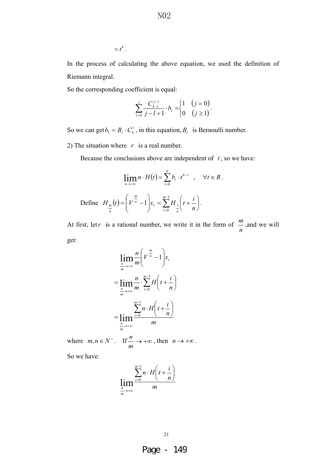$$
=t^k.
$$

In the process of calculating the above equation, we used the definition of Riemann integral.

So the corresponding coefficient is equal:

$$
\sum_{l=0}^{j} \frac{C_{k-l}^{j-l}}{j-l+1} \cdot b_l = \begin{cases} 1 & (j = 0) \\ 0 & (j \ge 1) \end{cases}.
$$

So we can get  $b_l = B_l \cdot C_k^l$ , in this equation,  $B_l$  is Bernoulli number.

2) The situation where  $r$  is a real number.

Because the conclusions above are independent of  $t$ , so we have:

$$
\lim_{n \to +\infty} n \cdot H(t) = \sum_{i=0}^{k} b_i \cdot t^{k-i} \quad , \quad \forall t \in R.
$$
  
Define  $H_{\frac{m}{n}}(t) = \left(V^{\frac{m}{n}} - 1\right) x_t = \sum_{i=0}^{m-1} H_{\frac{1}{n}}\left(t + \frac{i}{n}\right).$ 

At first, let*r* is a rational number, we write it in the form of *n*  $\frac{m}{m}$ , and we will get:

$$
\lim_{\frac{n}{m}\to\infty}\frac{n}{m}\left(V^{\frac{m}{n}}-1\right)x_{t}
$$
\n
$$
=\lim_{\frac{n}{m}\to\infty}\frac{n}{m}\cdot\sum_{i=0}^{m-1}H\left(t+\frac{i}{n}\right)
$$
\n
$$
=\lim_{\frac{n}{m}\to\infty}\frac{\sum_{i=0}^{m-1}n\cdot H\left(t+\frac{i}{n}\right)}{m}
$$

where  $m, n \in N^+$ . If  $\stackrel{n}{\longrightarrow} +\infty$ *m*  $\frac{n}{n} \rightarrow +\infty$ , then  $n \rightarrow +\infty$ .

So we have:

$$
\lim_{\frac{n}{m}\to\infty}\frac{\sum_{i=0}^{m-1}n\cdot H\left(t+\frac{i}{n}\right)}{m}
$$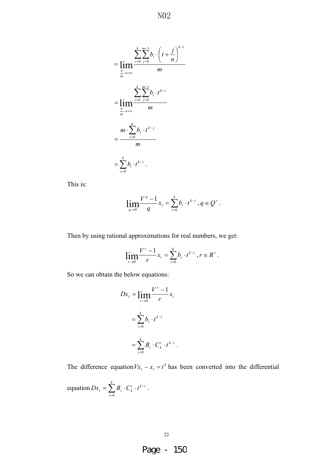N<sub>0</sub>2

$$
= \lim_{m \to \infty} \frac{\sum_{i=0}^{k} \sum_{j=0}^{m-1} b_i \cdot \left(t + \frac{j}{n}\right)^{k-i}}{m}
$$

$$
= \lim_{m \to \infty} \frac{\sum_{i=0}^{k} \sum_{j=0}^{m-1} b_i \cdot t^{k-i}}{m}
$$

$$
= \frac{m \cdot \sum_{i=0}^{k} b_i \cdot t^{k-i}}{m}
$$

$$
= \sum_{i=0}^{k} b_i \cdot t^{k-i}.
$$

This is:

$$
\lim_{q \to 0} \frac{V^q - 1}{q} x_t = \sum_{i=0}^k b_i \cdot t^{k-i}, q \in Q^+.
$$

Then by using rational approximations for real numbers, we get:

$$
\lim_{r \to 0} \frac{V^r - 1}{r} x_t = \sum_{i=0}^k b_i \cdot t^{k-i}, r \in R^+.
$$

So we can obtain the below equations:

$$
Dx_t = \lim_{r \to 0} \frac{V^r - 1}{r} x_t
$$
  
= 
$$
\sum_{i=0}^k b_i \cdot t^{k-i}
$$
  
= 
$$
\sum_{i=0}^k B_i \cdot C_k^i \cdot t^{k-i}
$$
.

The difference equation  $Vx_t - x_t = t^k$  has been converted into the differential

equation 
$$
Dx_t = \sum_{i=0}^k B_i \cdot C_k^i \cdot t^{k-i}
$$
.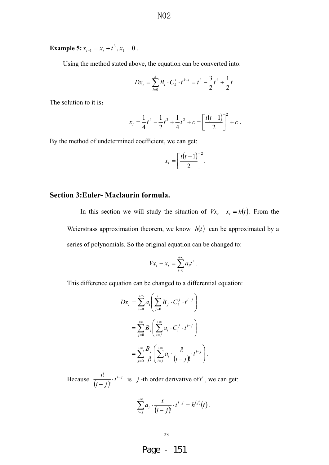**Example 5:**  $x_{t+1} = x_t + t^3$ ,  $x_1 = 0$ .

Using the method stated above, the equation can be converted into:

$$
Dx_t = \sum_{i=0}^k B_i \cdot C_k^i \cdot t^{k-i} = t^3 - \frac{3}{2}t^2 + \frac{1}{2}t.
$$

The solution to it is:

$$
x_t = \frac{1}{4}t^4 - \frac{1}{2}t^3 + \frac{1}{4}t^2 + c = \left[\frac{t(t-1)}{2}\right]^2 + c.
$$

By the method of undetermined coefficient, we can get:

$$
x_t = \left[\frac{t(t-1)}{2}\right]^2.
$$

#### **Section 3:Euler- Maclaurin formula.**

In this section we will study the situation of  $Vx_t - x_t = h(t)$ . From the Weierstrass approximation theorem, we know  $h(t)$  can be approximated by a series of polynomials. So the original equation can be changed to:

$$
Vx_t - x_t = \sum_{i=0}^{+\infty} a_i t^i .
$$

This difference equation can be changed to a differential equation:

$$
Dx_t = \sum_{i=0}^{+\infty} a_i \left( \sum_{j=0}^i B_j \cdot C_i^j \cdot t^{i-j} \right)
$$
  
= 
$$
\sum_{j=0}^{+\infty} B_j \left( \sum_{i=j}^{+\infty} a_i \cdot C_i^j \cdot t^{i-j} \right)
$$
  
= 
$$
\sum_{j=0}^{+\infty} \frac{B_j}{j!} \left( \sum_{i=j}^{+\infty} a_i \cdot \frac{i!}{(i-j)!} \cdot t^{i-j} \right).
$$

Because  $\frac{i!}{(i-i)!} \cdot t^{i-j}$  $\frac{i!}{(i-j)!}$   $\cdot t^{i-j}$  is *j*-th order derivative of *t<sup>i</sup>*, we can get:

$$
\sum_{i=j}^{+\infty} a_i \cdot \frac{i!}{(i-j)!} \cdot t^{i-j} = h^{(j)}(t).
$$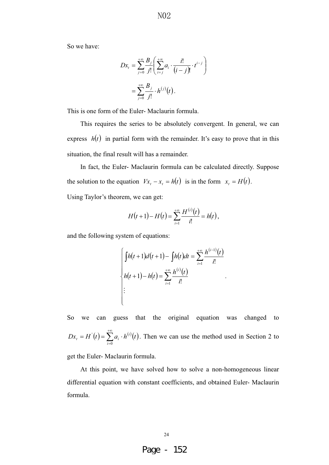N<sub>0</sub>2

So we have:

$$
Dx_t = \sum_{j=0}^{+\infty} \frac{B_j}{j!} \left( \sum_{i=j}^{+\infty} a_i \cdot \frac{i!}{(i-j)!} \cdot t^{i-j} \right)
$$
  
= 
$$
\sum_{j=0}^{+\infty} \frac{B_j}{j!} \cdot h^{(j)}(t).
$$

This is one form of the Euler- Maclaurin formula.

This requires the series to be absolutely convergent. In general, we can express  $h(t)$  in partial form with the remainder. It's easy to prove that in this situation, the final result will has a remainder.

In fact, the Euler- Maclaurin formula can be calculated directly. Suppose the solution to the equation  $Vx_t - x_t = h(t)$  is in the form  $x_t = H(t)$ .

Using Taylor's theorem, we can get:

$$
H(t+1)-H(t)=\sum_{i=1}^{+\infty}\frac{H^{(i)}(t)}{i!}=h(t),
$$

and the following system of equations:

$$
\begin{cases}\n\int h(t+1)d(t+1) - \int h(t)dt = \sum_{i=1}^{+\infty} \frac{h^{(i-1)}(t)}{i!} \\
h(t+1) - h(t) = \sum_{i=1}^{+\infty} \frac{h^{(i)}(t)}{i!} \\
\vdots\n\end{cases}
$$

.

So we can guess that the original equation was changed to  $(t) = \sum_{i=1}^{+\infty} a_i \cdot h^{(i)}(t)$ - $= H'(t) = \sum a_{\cdot}$ 0 ' *i*  $Dx_t = H'(t) = \sum a_i \cdot h^{(i)}(t)$ . Then we can use the method used in Section 2 to

get the Euler- Maclaurin formula.

At this point, we have solved how to solve a non-homogeneous linear differential equation with constant coefficients, and obtained Euler- Maclaurin formula.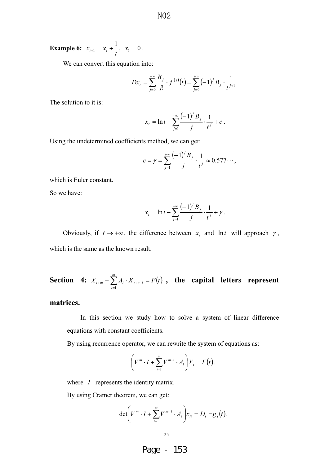**Example 6:**  $x_{t+1} = x_t + \frac{1}{t}, \quad x_1 = 0.$ 

We can convert this equation into:

$$
Dx_t = \sum_{j=0}^{+\infty} \frac{B_j}{j!} \cdot f^{(j)}(t) = \sum_{j=0}^{+\infty} (-1)^j B_j \cdot \frac{1}{t^{j+1}}.
$$

The solution to it is:

$$
x_{t} = \ln t - \sum_{j=1}^{+\infty} \frac{(-1)^{j} B_{j}}{j} \cdot \frac{1}{t^{j}} + c.
$$

Using the undetermined coefficients method, we can get:

$$
c = \gamma = \sum_{j=1}^{+\infty} \frac{(-1)^j B_j}{j} \cdot \frac{1}{t^j} \approx 0.577 \cdots,
$$

which is Euler constant.

So we have:

$$
x_{t} = \ln t - \sum_{j=1}^{+\infty} \frac{(-1)^{j} B_{j}}{j} \cdot \frac{1}{t^{j}} + \gamma.
$$

Obviously, if  $t \to +\infty$ , the difference between  $x_t$  and ln *t* will approach  $\gamma$ , which is the same as the known result.

**Section 4:** 
$$
X_{t+m} + \sum_{i=1}^{m} A_i \cdot X_{t+n-i} = F(t)
$$
, the capital letters represent

**matrices.**

In this section we study how to solve a system of linear difference equations with constant coefficients.

By using recurrence operator, we can rewrite the system of equations as:

$$
\left(V^m\cdot I+\sum_{i=1}^m V^{m-i}\cdot A_i\right)X_t=F(t).
$$

where *I* represents the identity matrix.

By using Cramer theorem, we can get:

$$
\det\bigg(V^m\cdot I+\sum_{i=1}^m V^{m-i}\cdot A_i\bigg)x_{ii}=D_i=g_i\big(t\big).
$$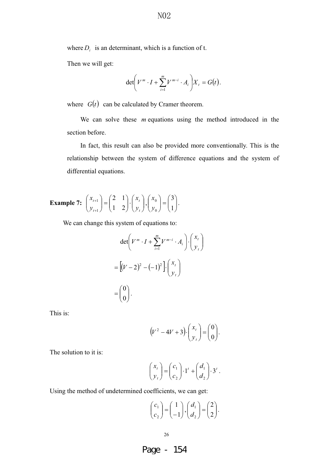where  $D_i$  is an determinant, which is a function of t.

Then we will get:

$$
\det \left(V^m \cdot I + \sum_{i=1}^m V^{m-i} \cdot A_i\right) X_t = G(t).
$$

where  $G(t)$  can be calculated by Cramer theorem.

We can solve these *m* equations using the method introduced in the section before.

In fact, this result can also be provided more conventionally. This is the relationship between the system of difference equations and the system of differential equations.

#### **Example 7:**  $\begin{bmatrix} x_{t+1} \\ y_1 \end{bmatrix} = \begin{bmatrix} 2 & 1 \\ 1 & 2 \end{bmatrix} \cdot \begin{bmatrix} x_t \\ y_t \end{bmatrix}$  $\bigg)$  $\backslash$  $\overline{\phantom{a}}$ l  $\Bigg) \cdot \Bigg($  $\big)$  $\backslash$  $\overline{\phantom{a}}$ l  $=$  $\big)$  $\backslash$  $\overline{\phantom{a}}$ l  $\sqrt{2}$  $^{+}$  $^{+}$ *t t t t y x y x* 21 12 1  $\begin{bmatrix} 1 \\ -1 \end{bmatrix} = \begin{bmatrix} 2 & 1 \\ 1 & 2 \end{bmatrix} \cdot \begin{bmatrix} \lambda_t \\ \lambda_t \end{bmatrix}$  $\big)$  $\backslash$  $\overline{\phantom{a}}$ l  $=$  $\bigg)$  $\backslash$  $\overline{\phantom{a}}$ l  $\sqrt{2}$ 1 3 0 0 *y*  $\begin{pmatrix} x_0 \\ x_0 \end{pmatrix} = \begin{pmatrix} 3 \\ 1 \end{pmatrix}.$

We can change this system of equations to:

$$
\det \left( V^m \cdot I + \sum_{i=1}^m V^{m-i} \cdot A_i \right) \cdot \begin{pmatrix} x_t \\ y_t \end{pmatrix}
$$

$$
= \left[ (V - 2)^2 - (-1)^2 \right] \cdot \begin{pmatrix} x_t \\ y_t \end{pmatrix}
$$

$$
= \begin{pmatrix} 0 \\ 0 \end{pmatrix}.
$$

This is:

$$
(V^2 - 4V + 3) \cdot \begin{pmatrix} x_t \\ y_t \end{pmatrix} = \begin{pmatrix} 0 \\ 0 \end{pmatrix}.
$$

The solution to it is:

$$
\begin{pmatrix} x_t \\ y_t \end{pmatrix} = \begin{pmatrix} c_1 \\ c_2 \end{pmatrix} \cdot 1' + \begin{pmatrix} d_1 \\ d_2 \end{pmatrix} \cdot 3'.
$$

Using the method of undetermined coefficients, we can get:

$$
\begin{pmatrix} c_1 \\ c_2 \end{pmatrix} = \begin{pmatrix} 1 \\ -1 \end{pmatrix}, \begin{pmatrix} d_1 \\ d_2 \end{pmatrix} = \begin{pmatrix} 2 \\ 2 \end{pmatrix}.
$$

26